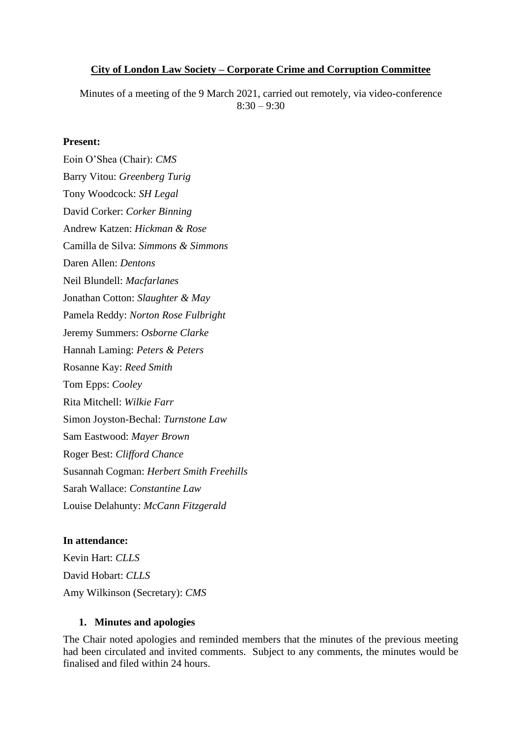## **City of London Law Society – Corporate Crime and Corruption Committee**

Minutes of a meeting of the 9 March 2021, carried out remotely, via video-conference  $8:30 - 9:30$ 

## **Present:**

Eoin O'Shea (Chair): *CMS* Barry Vitou: *Greenberg Turig* Tony Woodcock: *SH Legal* David Corker: *Corker Binning* Andrew Katzen: *Hickman & Rose* Camilla de Silva: *Simmons & Simmons* Daren Allen: *Dentons* Neil Blundell: *Macfarlanes* Jonathan Cotton: *Slaughter & May* Pamela Reddy: *Norton Rose Fulbright* Jeremy Summers: *Osborne Clarke* Hannah Laming: *Peters & Peters* Rosanne Kay: *Reed Smith* Tom Epps: *Cooley* Rita Mitchell: *Wilkie Farr* Simon Joyston-Bechal: *Turnstone Law* Sam Eastwood: *Mayer Brown* Roger Best: *Clifford Chance* Susannah Cogman: *Herbert Smith Freehills* Sarah Wallace: *Constantine Law* Louise Delahunty: *McCann Fitzgerald*

#### **In attendance:**

Kevin Hart: *CLLS* David Hobart: *CLLS* Amy Wilkinson (Secretary): *CMS*

#### **1. Minutes and apologies**

The Chair noted apologies and reminded members that the minutes of the previous meeting had been circulated and invited comments. Subject to any comments, the minutes would be finalised and filed within 24 hours.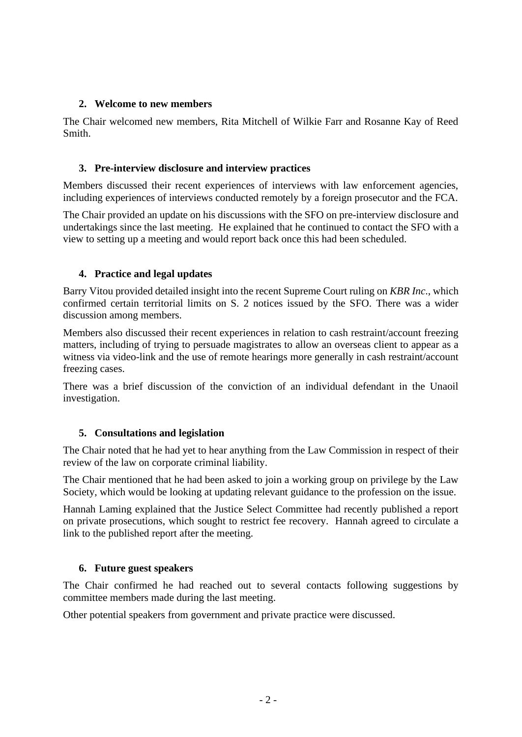## **2. Welcome to new members**

The Chair welcomed new members, Rita Mitchell of Wilkie Farr and Rosanne Kay of Reed Smith.

## **3. Pre-interview disclosure and interview practices**

Members discussed their recent experiences of interviews with law enforcement agencies, including experiences of interviews conducted remotely by a foreign prosecutor and the FCA.

The Chair provided an update on his discussions with the SFO on pre-interview disclosure and undertakings since the last meeting. He explained that he continued to contact the SFO with a view to setting up a meeting and would report back once this had been scheduled.

# **4. Practice and legal updates**

Barry Vitou provided detailed insight into the recent Supreme Court ruling on *KBR Inc*., which confirmed certain territorial limits on S. 2 notices issued by the SFO. There was a wider discussion among members.

Members also discussed their recent experiences in relation to cash restraint/account freezing matters, including of trying to persuade magistrates to allow an overseas client to appear as a witness via video-link and the use of remote hearings more generally in cash restraint/account freezing cases.

There was a brief discussion of the conviction of an individual defendant in the Unaoil investigation.

# **5. Consultations and legislation**

The Chair noted that he had yet to hear anything from the Law Commission in respect of their review of the law on corporate criminal liability.

The Chair mentioned that he had been asked to join a working group on privilege by the Law Society, which would be looking at updating relevant guidance to the profession on the issue.

Hannah Laming explained that the Justice Select Committee had recently published a report on private prosecutions, which sought to restrict fee recovery. Hannah agreed to circulate a link to the published report after the meeting.

#### **6. Future guest speakers**

The Chair confirmed he had reached out to several contacts following suggestions by committee members made during the last meeting.

Other potential speakers from government and private practice were discussed.